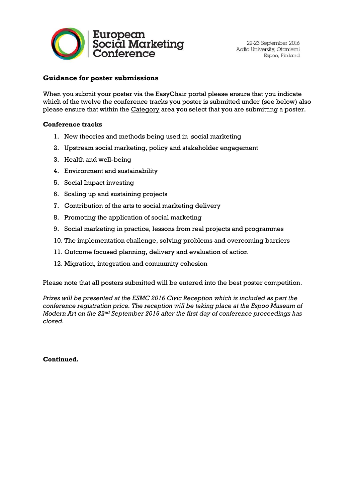

## **Guidance for poster submissions**

When you submit your poster via the EasyChair portal please ensure that you indicate which of the twelve the conference tracks you poster is submitted under (see below) also please ensure that within the Category area you select that you are submitting a poster.

## **Conference tracks**

- 1. New theories and methods being used in social marketing
- 2. Upstream social marketing, policy and stakeholder engagement
- 3. Health and well-being
- 4. Environment and sustainability
- 5. Social Impact investing
- 6. Scaling up and sustaining projects
- 7. Contribution of the arts to social marketing delivery
- 8. Promoting the application of social marketing
- 9. Social marketing in practice, lessons from real projects and programmes
- 10. The implementation challenge, solving problems and overcoming barriers
- 11. Outcome focused planning, delivery and evaluation of action
- 12. Migration, integration and community cohesion

Please note that all posters submitted will be entered into the best poster competition.

*Prizes will be presented at the ESMC 2016 Civic Reception which is included as part the conference registration price. The reception will be taking place at the Espoo Museum of Modern Art on the 22nd September 2016 after the first day of conference proceedings has closed.* 

**Continued.**